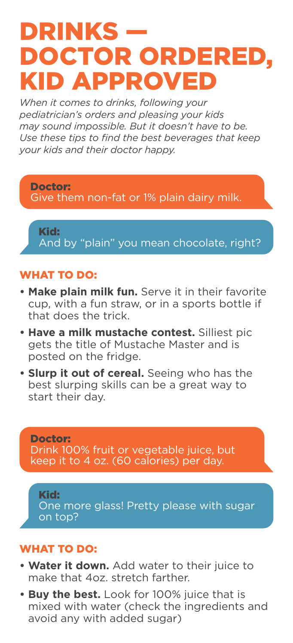# DRINKS — DOCTOR ORDERED, KID APPROVED

*When it comes to drinks, following your pediatrician's orders and pleasing your kids may sound impossible. But it doesn't have to be. Use these tips to find the best beverages that keep your kids and their doctor happy.*

Doctor: Give them non-fat or 1% plain dairy milk.

Kid: And by "plain" you mean chocolate, right?

### WHAT TO DO:

- **Make plain milk fun.** Serve it in their favorite cup, with a fun straw, or in a sports bottle if that does the trick.
- **Have a milk mustache contest.** Silliest pic gets the title of Mustache Master and is posted on the fridge.
- **Slurp it out of cereal.** Seeing who has the best slurping skills can be a great way to start their day.

Doctor: Drink 100% fruit or vegetable juice, but keep it to 4 oz. (60 calories) per day.

Kid: One more glass! Pretty please with sugar on top?

#### WHAT TO DO:

- **Water it down.** Add water to their juice to make that 4oz. stretch farther.
- **Buy the best.** Look for 100% juice that is mixed with water (check the ingredients and avoid any with added sugar)